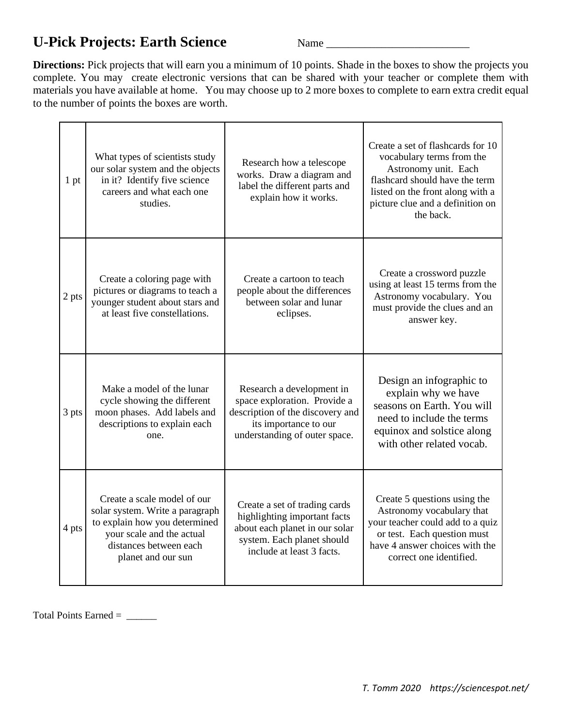## **U-Pick Projects: Earth Science** Name \_\_\_\_\_\_\_\_\_\_\_\_\_\_\_\_\_\_\_\_\_\_\_\_\_\_

**Directions:** Pick projects that will earn you a minimum of 10 points. Shade in the boxes to show the projects you complete. You may create electronic versions that can be shared with your teacher or complete them with materials you have available at home. You may choose up to 2 more boxes to complete to earn extra credit equal to the number of points the boxes are worth.

| 1 pt  | What types of scientists study<br>our solar system and the objects<br>in it? Identify five science<br>careers and what each one<br>studies.                                  | Research how a telescope<br>works. Draw a diagram and<br>label the different parts and<br>explain how it works.                                            | Create a set of flashcards for 10<br>vocabulary terms from the<br>Astronomy unit. Each<br>flashcard should have the term<br>listed on the front along with a<br>picture clue and a definition on<br>the back. |
|-------|------------------------------------------------------------------------------------------------------------------------------------------------------------------------------|------------------------------------------------------------------------------------------------------------------------------------------------------------|---------------------------------------------------------------------------------------------------------------------------------------------------------------------------------------------------------------|
| 2 pts | Create a coloring page with<br>pictures or diagrams to teach a<br>younger student about stars and<br>at least five constellations.                                           | Create a cartoon to teach<br>people about the differences<br>between solar and lunar<br>eclipses.                                                          | Create a crossword puzzle<br>using at least 15 terms from the<br>Astronomy vocabulary. You<br>must provide the clues and an<br>answer key.                                                                    |
| 3 pts | Make a model of the lunar<br>cycle showing the different<br>moon phases. Add labels and<br>descriptions to explain each<br>one.                                              | Research a development in<br>space exploration. Provide a<br>description of the discovery and<br>its importance to our<br>understanding of outer space.    | Design an infographic to<br>explain why we have<br>seasons on Earth. You will<br>need to include the terms<br>equinox and solstice along<br>with other related vocab.                                         |
| 4 pts | Create a scale model of our<br>solar system. Write a paragraph<br>to explain how you determined<br>your scale and the actual<br>distances between each<br>planet and our sun | Create a set of trading cards<br>highlighting important facts<br>about each planet in our solar<br>system. Each planet should<br>include at least 3 facts. | Create 5 questions using the<br>Astronomy vocabulary that<br>your teacher could add to a quiz<br>or test. Each question must<br>have 4 answer choices with the<br>correct one identified.                     |

Total Points Earned = \_\_\_\_\_\_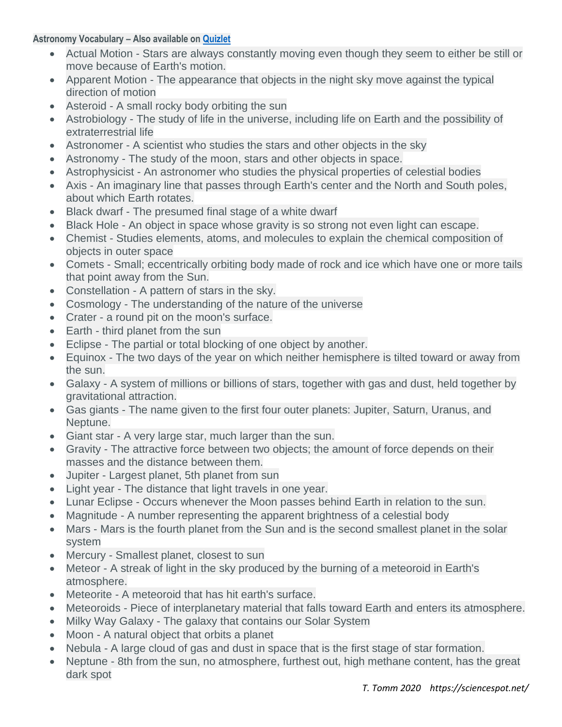## **Astronomy Vocabulary – Also available on [Quizlet](https://quizlet.com/496804351/astronomy-6th-8th-flash-cards/)**

- Actual Motion Stars are always constantly moving even though they seem to either be still or move because of Earth's motion.
- Apparent Motion The appearance that objects in the night sky move against the typical direction of motion
- Asteroid A small rocky body orbiting the sun
- Astrobiology The study of life in the universe, including life on Earth and the possibility of extraterrestrial life
- Astronomer A scientist who studies the stars and other objects in the sky
- Astronomy The study of the moon, stars and other objects in space.
- Astrophysicist An astronomer who studies the physical properties of celestial bodies
- Axis An imaginary line that passes through Earth's center and the North and South poles, about which Earth rotates.
- Black dwarf The presumed final stage of a white dwarf
- Black Hole An object in space whose gravity is so strong not even light can escape.
- Chemist Studies elements, atoms, and molecules to explain the chemical composition of objects in outer space
- Comets Small; eccentrically orbiting body made of rock and ice which have one or more tails that point away from the Sun.
- Constellation A pattern of stars in the sky.
- Cosmology The understanding of the nature of the universe
- Crater a round pit on the moon's surface.
- Earth third planet from the sun
- Eclipse The partial or total blocking of one object by another.
- Equinox The two days of the year on which neither hemisphere is tilted toward or away from the sun.
- Galaxy A system of millions or billions of stars, together with gas and dust, held together by gravitational attraction.
- Gas giants The name given to the first four outer planets: Jupiter, Saturn, Uranus, and Neptune.
- Giant star A very large star, much larger than the sun.
- Gravity The attractive force between two objects; the amount of force depends on their masses and the distance between them.
- Jupiter Largest planet, 5th planet from sun
- Light year The distance that light travels in one year.
- Lunar Eclipse Occurs whenever the Moon passes behind Earth in relation to the sun.
- Magnitude A number representing the apparent brightness of a celestial body
- Mars Mars is the fourth planet from the Sun and is the second smallest planet in the solar system
- Mercury Smallest planet, closest to sun
- Meteor A streak of light in the sky produced by the burning of a meteoroid in Earth's atmosphere.
- Meteorite A meteoroid that has hit earth's surface.
- Meteoroids Piece of interplanetary material that falls toward Earth and enters its atmosphere.
- Milky Way Galaxy The galaxy that contains our Solar System
- Moon A natural object that orbits a planet
- Nebula A large cloud of gas and dust in space that is the first stage of star formation.
- Neptune 8th from the sun, no atmosphere, furthest out, high methane content, has the great dark spot